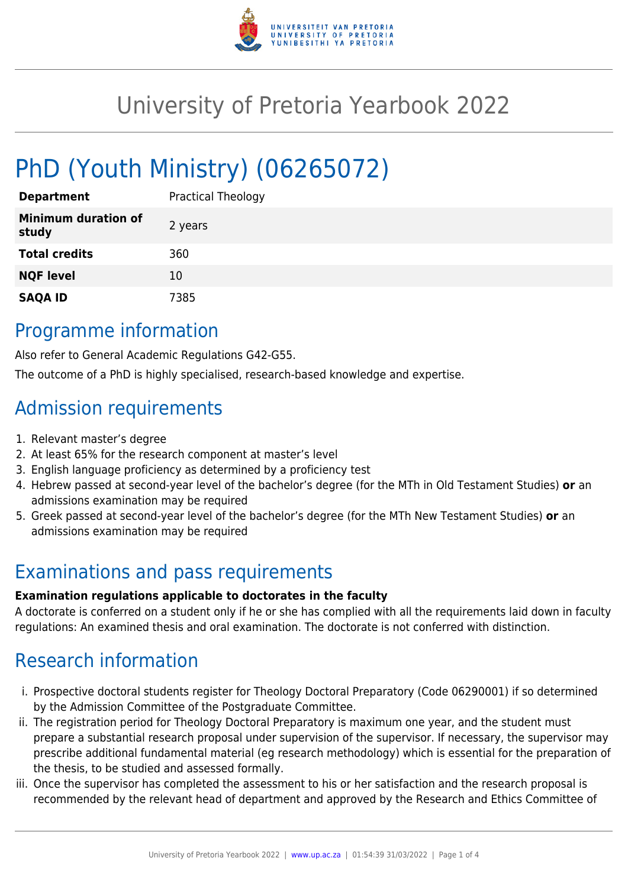

# University of Pretoria Yearbook 2022

# PhD (Youth Ministry) (06265072)

| <b>Department</b>                   | <b>Practical Theology</b> |
|-------------------------------------|---------------------------|
| <b>Minimum duration of</b><br>study | 2 years                   |
| <b>Total credits</b>                | 360                       |
| <b>NQF level</b>                    | 10                        |
| <b>SAQA ID</b>                      | 7385                      |

### Programme information

Also refer to General Academic Regulations G42-G55.

The outcome of a PhD is highly specialised, research-based knowledge and expertise.

## Admission requirements

- 1. Relevant master's degree
- 2. At least 65% for the research component at master's level
- 3. English language proficiency as determined by a proficiency test
- 4. Hebrew passed at second-year level of the bachelor's degree (for the MTh in Old Testament Studies) **or** an admissions examination may be required
- 5. Greek passed at second-year level of the bachelor's degree (for the MTh New Testament Studies) **or** an admissions examination may be required

#### Examinations and pass requirements

#### **Examination regulations applicable to doctorates in the faculty**

A doctorate is conferred on a student only if he or she has complied with all the requirements laid down in faculty regulations: An examined thesis and oral examination. The doctorate is not conferred with distinction.

## Research information

- i. Prospective doctoral students register for Theology Doctoral Preparatory (Code 06290001) if so determined by the Admission Committee of the Postgraduate Committee.
- ii. The registration period for Theology Doctoral Preparatory is maximum one year, and the student must prepare a substantial research proposal under supervision of the supervisor. If necessary, the supervisor may prescribe additional fundamental material (eg research methodology) which is essential for the preparation of the thesis, to be studied and assessed formally.
- iii. Once the supervisor has completed the assessment to his or her satisfaction and the research proposal is recommended by the relevant head of department and approved by the Research and Ethics Committee of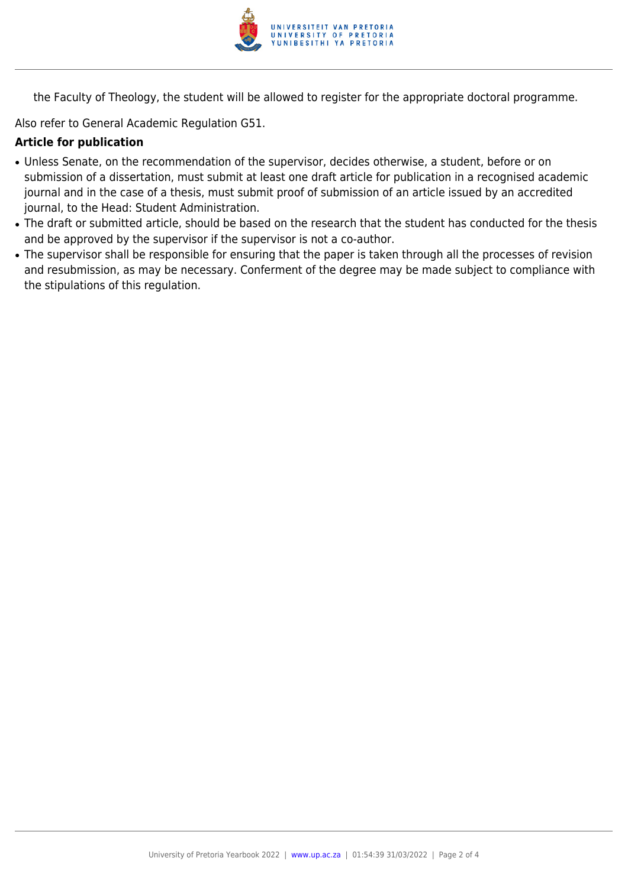

the Faculty of Theology, the student will be allowed to register for the appropriate doctoral programme.

Also refer to General Academic Regulation G51.

#### **Article for publication**

- Unless Senate, on the recommendation of the supervisor, decides otherwise, a student, before or on submission of a dissertation, must submit at least one draft article for publication in a recognised academic journal and in the case of a thesis, must submit proof of submission of an article issued by an accredited journal, to the Head: Student Administration.
- The draft or submitted article, should be based on the research that the student has conducted for the thesis and be approved by the supervisor if the supervisor is not a co-author.
- The supervisor shall be responsible for ensuring that the paper is taken through all the processes of revision and resubmission, as may be necessary. Conferment of the degree may be made subject to compliance with the stipulations of this regulation.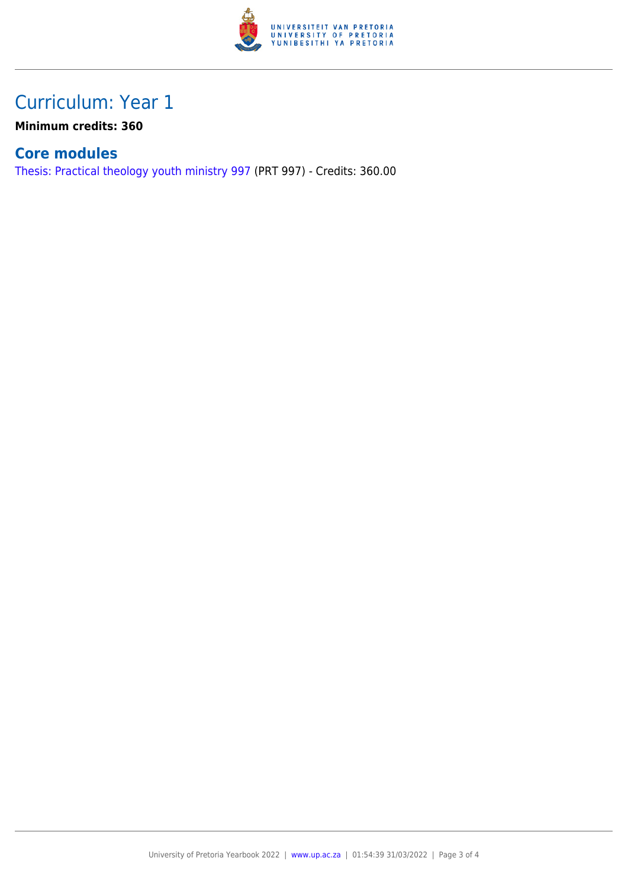

### Curriculum: Year 1

**Minimum credits: 360**

#### **Core modules**

[Thesis: Practical theology youth ministry 997](https://www.up.ac.za/parents/yearbooks/2022/modules/view/PRT 997) (PRT 997) - Credits: 360.00